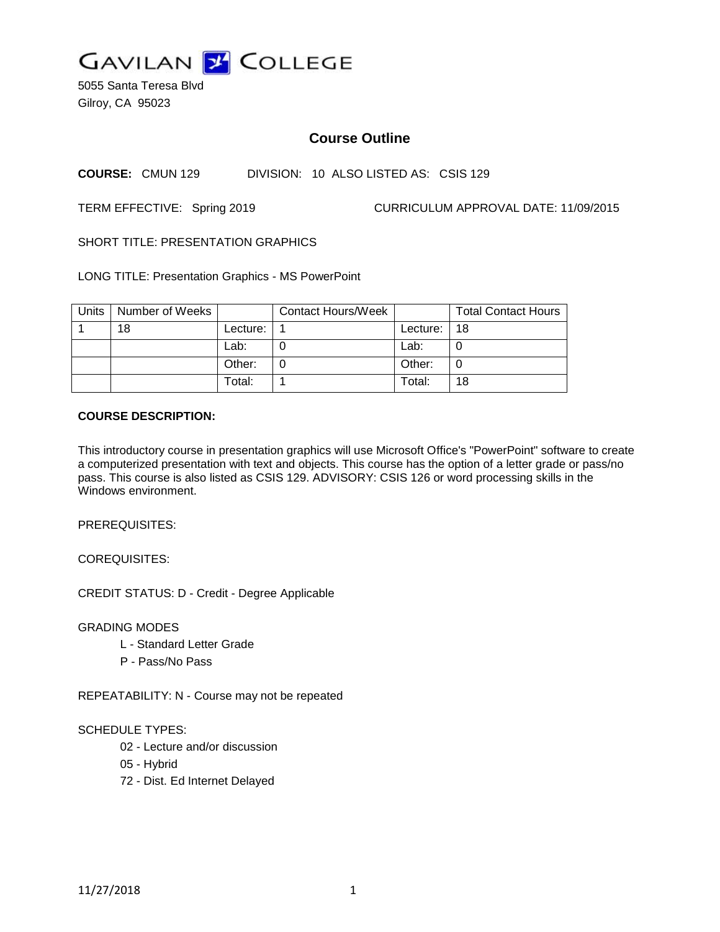

5055 Santa Teresa Blvd Gilroy, CA 95023

# **Course Outline**

#### **COURSE:** CMUN 129 DIVISION: 10 ALSO LISTED AS: CSIS 129

TERM EFFECTIVE: Spring 2019 CURRICULUM APPROVAL DATE: 11/09/2015

SHORT TITLE: PRESENTATION GRAPHICS

LONG TITLE: Presentation Graphics - MS PowerPoint

| Units | Number of Weeks |          | <b>Contact Hours/Week</b> |          | <b>Total Contact Hours</b> |
|-------|-----------------|----------|---------------------------|----------|----------------------------|
|       | 18              | Lecture: |                           | Lecture: | 18                         |
|       |                 | Lab:     |                           | Lab:     |                            |
|       |                 | Other:   |                           | Other:   |                            |
|       |                 | Total:   |                           | Total:   | 18                         |

#### **COURSE DESCRIPTION:**

This introductory course in presentation graphics will use Microsoft Office's "PowerPoint" software to create a computerized presentation with text and objects. This course has the option of a letter grade or pass/no pass. This course is also listed as CSIS 129. ADVISORY: CSIS 126 or word processing skills in the Windows environment.

PREREQUISITES:

COREQUISITES:

CREDIT STATUS: D - Credit - Degree Applicable

GRADING MODES

- L Standard Letter Grade
- P Pass/No Pass

REPEATABILITY: N - Course may not be repeated

#### SCHEDULE TYPES:

- 02 Lecture and/or discussion
- 05 Hybrid
- 72 Dist. Ed Internet Delayed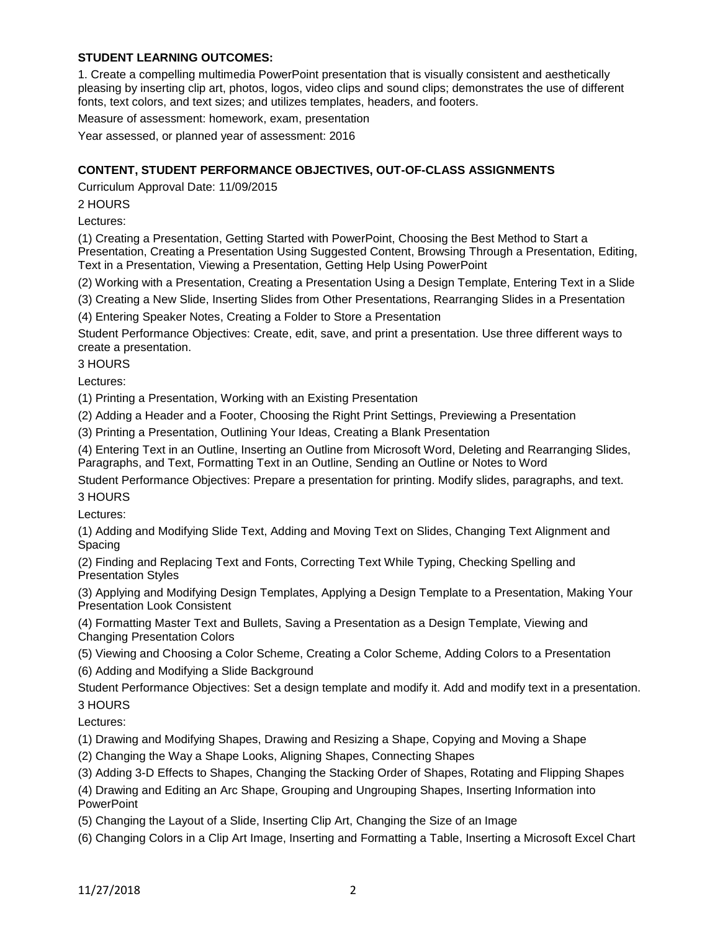### **STUDENT LEARNING OUTCOMES:**

1. Create a compelling multimedia PowerPoint presentation that is visually consistent and aesthetically pleasing by inserting clip art, photos, logos, video clips and sound clips; demonstrates the use of different fonts, text colors, and text sizes; and utilizes templates, headers, and footers.

Measure of assessment: homework, exam, presentation

Year assessed, or planned year of assessment: 2016

### **CONTENT, STUDENT PERFORMANCE OBJECTIVES, OUT-OF-CLASS ASSIGNMENTS**

Curriculum Approval Date: 11/09/2015

2 HOURS

Lectures:

(1) Creating a Presentation, Getting Started with PowerPoint, Choosing the Best Method to Start a Presentation, Creating a Presentation Using Suggested Content, Browsing Through a Presentation, Editing, Text in a Presentation, Viewing a Presentation, Getting Help Using PowerPoint

(2) Working with a Presentation, Creating a Presentation Using a Design Template, Entering Text in a Slide

(3) Creating a New Slide, Inserting Slides from Other Presentations, Rearranging Slides in a Presentation

(4) Entering Speaker Notes, Creating a Folder to Store a Presentation

Student Performance Objectives: Create, edit, save, and print a presentation. Use three different ways to create a presentation.

3 HOURS

Lectures:

(1) Printing a Presentation, Working with an Existing Presentation

(2) Adding a Header and a Footer, Choosing the Right Print Settings, Previewing a Presentation

(3) Printing a Presentation, Outlining Your Ideas, Creating a Blank Presentation

(4) Entering Text in an Outline, Inserting an Outline from Microsoft Word, Deleting and Rearranging Slides, Paragraphs, and Text, Formatting Text in an Outline, Sending an Outline or Notes to Word

Student Performance Objectives: Prepare a presentation for printing. Modify slides, paragraphs, and text. 3 HOURS

Lectures:

(1) Adding and Modifying Slide Text, Adding and Moving Text on Slides, Changing Text Alignment and Spacing

(2) Finding and Replacing Text and Fonts, Correcting Text While Typing, Checking Spelling and Presentation Styles

(3) Applying and Modifying Design Templates, Applying a Design Template to a Presentation, Making Your Presentation Look Consistent

(4) Formatting Master Text and Bullets, Saving a Presentation as a Design Template, Viewing and Changing Presentation Colors

(5) Viewing and Choosing a Color Scheme, Creating a Color Scheme, Adding Colors to a Presentation

(6) Adding and Modifying a Slide Background

Student Performance Objectives: Set a design template and modify it. Add and modify text in a presentation. 3 HOURS

Lectures:

(1) Drawing and Modifying Shapes, Drawing and Resizing a Shape, Copying and Moving a Shape

(2) Changing the Way a Shape Looks, Aligning Shapes, Connecting Shapes

(3) Adding 3-D Effects to Shapes, Changing the Stacking Order of Shapes, Rotating and Flipping Shapes

(4) Drawing and Editing an Arc Shape, Grouping and Ungrouping Shapes, Inserting Information into PowerPoint

(5) Changing the Layout of a Slide, Inserting Clip Art, Changing the Size of an Image

(6) Changing Colors in a Clip Art Image, Inserting and Formatting a Table, Inserting a Microsoft Excel Chart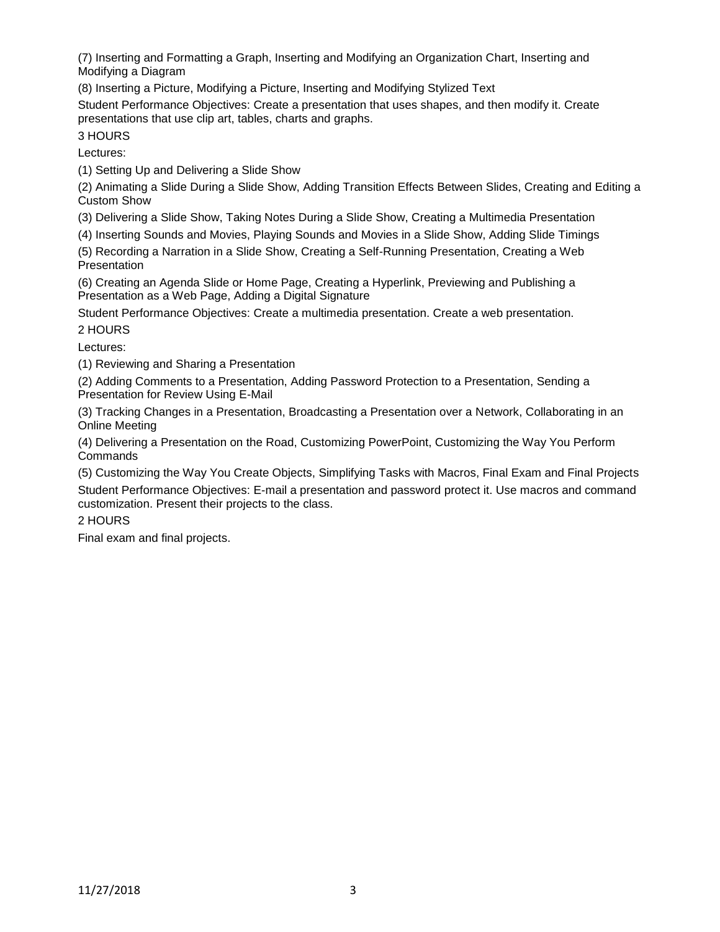(7) Inserting and Formatting a Graph, Inserting and Modifying an Organization Chart, Inserting and Modifying a Diagram

(8) Inserting a Picture, Modifying a Picture, Inserting and Modifying Stylized Text

Student Performance Objectives: Create a presentation that uses shapes, and then modify it. Create presentations that use clip art, tables, charts and graphs.

3 HOURS

Lectures:

(1) Setting Up and Delivering a Slide Show

(2) Animating a Slide During a Slide Show, Adding Transition Effects Between Slides, Creating and Editing a Custom Show

(3) Delivering a Slide Show, Taking Notes During a Slide Show, Creating a Multimedia Presentation

(4) Inserting Sounds and Movies, Playing Sounds and Movies in a Slide Show, Adding Slide Timings

(5) Recording a Narration in a Slide Show, Creating a Self-Running Presentation, Creating a Web **Presentation** 

(6) Creating an Agenda Slide or Home Page, Creating a Hyperlink, Previewing and Publishing a Presentation as a Web Page, Adding a Digital Signature

Student Performance Objectives: Create a multimedia presentation. Create a web presentation.

2 HOURS

Lectures:

(1) Reviewing and Sharing a Presentation

(2) Adding Comments to a Presentation, Adding Password Protection to a Presentation, Sending a Presentation for Review Using E-Mail

(3) Tracking Changes in a Presentation, Broadcasting a Presentation over a Network, Collaborating in an Online Meeting

(4) Delivering a Presentation on the Road, Customizing PowerPoint, Customizing the Way You Perform Commands

(5) Customizing the Way You Create Objects, Simplifying Tasks with Macros, Final Exam and Final Projects Student Performance Objectives: E-mail a presentation and password protect it. Use macros and command customization. Present their projects to the class.

2 HOURS

Final exam and final projects.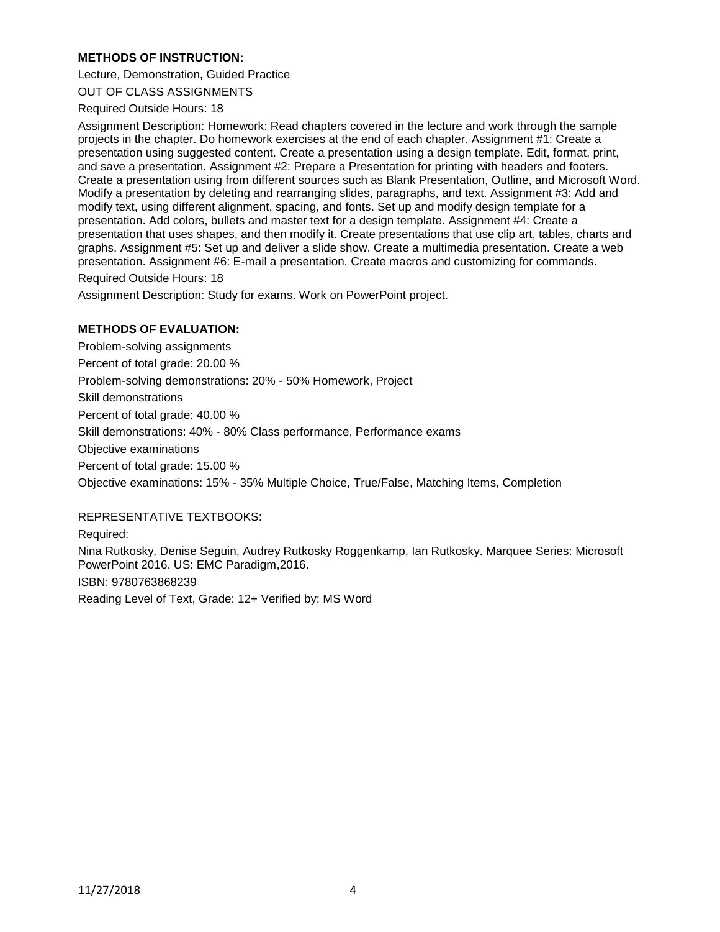### **METHODS OF INSTRUCTION:**

Lecture, Demonstration, Guided Practice

OUT OF CLASS ASSIGNMENTS

Required Outside Hours: 18

Assignment Description: Homework: Read chapters covered in the lecture and work through the sample projects in the chapter. Do homework exercises at the end of each chapter. Assignment #1: Create a presentation using suggested content. Create a presentation using a design template. Edit, format, print, and save a presentation. Assignment #2: Prepare a Presentation for printing with headers and footers. Create a presentation using from different sources such as Blank Presentation, Outline, and Microsoft Word. Modify a presentation by deleting and rearranging slides, paragraphs, and text. Assignment #3: Add and modify text, using different alignment, spacing, and fonts. Set up and modify design template for a presentation. Add colors, bullets and master text for a design template. Assignment #4: Create a presentation that uses shapes, and then modify it. Create presentations that use clip art, tables, charts and graphs. Assignment #5: Set up and deliver a slide show. Create a multimedia presentation. Create a web presentation. Assignment #6: E-mail a presentation. Create macros and customizing for commands.

Required Outside Hours: 18

Assignment Description: Study for exams. Work on PowerPoint project.

## **METHODS OF EVALUATION:**

Problem-solving assignments Percent of total grade: 20.00 % Problem-solving demonstrations: 20% - 50% Homework, Project Skill demonstrations Percent of total grade: 40.00 % Skill demonstrations: 40% - 80% Class performance, Performance exams Objective examinations Percent of total grade: 15.00 % Objective examinations: 15% - 35% Multiple Choice, True/False, Matching Items, Completion

#### REPRESENTATIVE TEXTBOOKS:

Required: Nina Rutkosky, Denise Seguin, Audrey Rutkosky Roggenkamp, Ian Rutkosky. Marquee Series: Microsoft PowerPoint 2016. US: EMC Paradigm,2016. ISBN: 9780763868239 Reading Level of Text, Grade: 12+ Verified by: MS Word